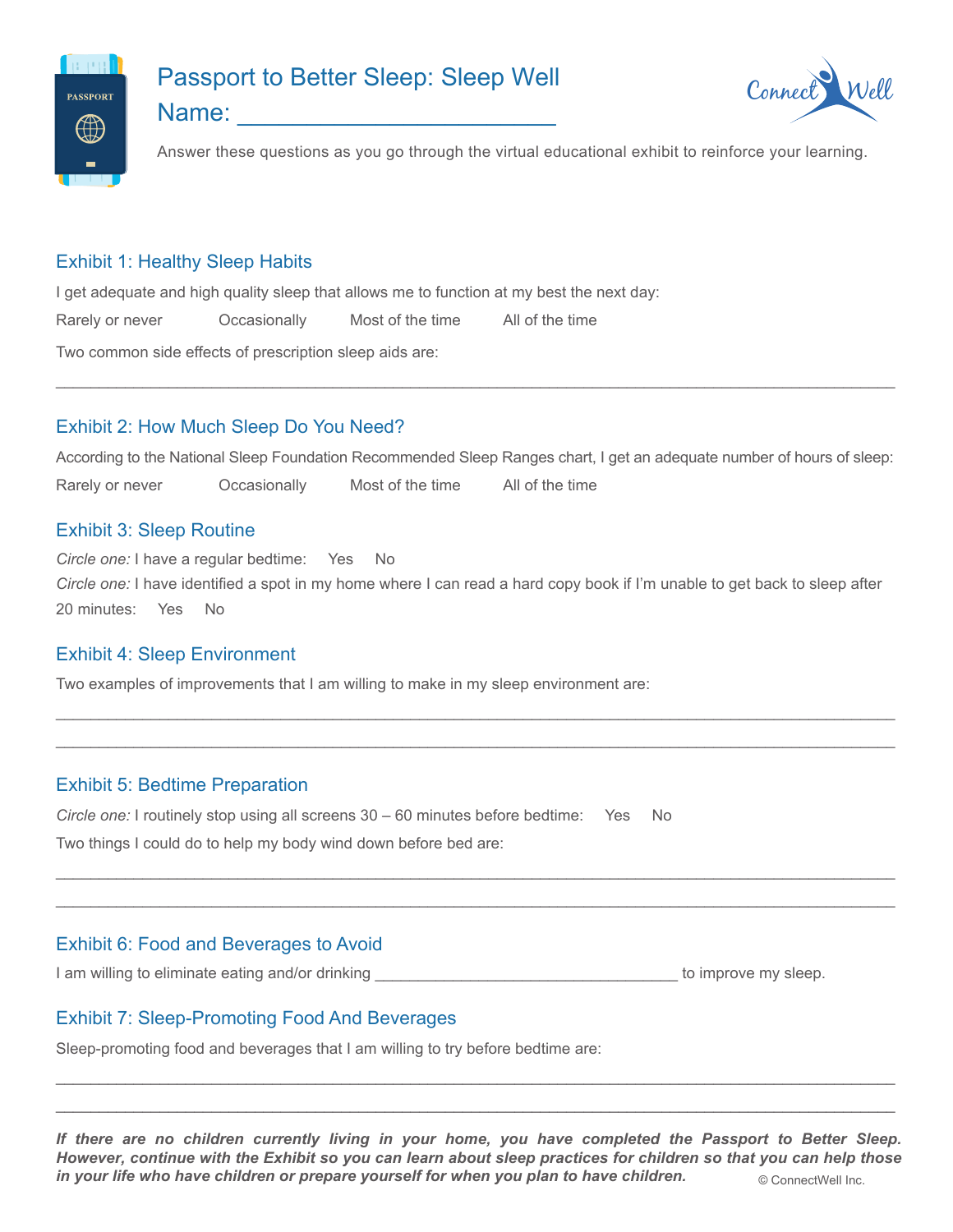

# Passport to Better Sleep: Sleep Well



Name: \_\_\_\_\_\_\_\_\_\_\_\_\_\_\_\_\_\_\_\_\_\_\_

Answer these questions as you go through the virtual educational exhibit to reinforce your learning.

# Exhibit 1: Healthy Sleep Habits

I get adequate and high quality sleep that allows me to function at my best the next day: Rarely or never Occasionally Most of the time All of the time Two common side effects of prescription sleep aids are:

# Exhibit 2: How Much Sleep Do You Need?

According to the National Sleep Foundation Recommended Sleep Ranges chart, I get an adequate number of hours of sleep: Rarely or never Occasionally Most of the time All of the time

## **Exhibit 3: Sleep Routine**

Circle one: I have a regular bedtime: Yes No Circle one: I have identified a spot in my home where I can read a hard copy book if I'm unable to get back to sleep after 20 minutes: Yes **No** 

#### **Exhibit 4: Sleep Environment**

Two examples of improvements that I am willing to make in my sleep environment are:

#### **Exhibit 5: Bedtime Preparation**

Circle one: I routinely stop using all screens  $30 - 60$  minutes before bedtime: Yes No Two things I could do to help my body wind down before bed are:

# **Exhibit 6: Food and Beverages to Avoid**

I am willing to eliminate eating and/or drinking to the state of the state of the state of the state of the state of the state of the state of the state of the state of the state of the state of the state of the state of t

# **Exhibit 7: Sleep-Promoting Food And Beverages**

Sleep-promoting food and beverages that I am willing to try before bedtime are:

If there are no children currently living in your home, you have completed the Passport to Better Sleep. However, continue with the Exhibit so you can learn about sleep practices for children so that you can help those in your life who have children or prepare yourself for when you plan to have children. © ConnectWell Inc.